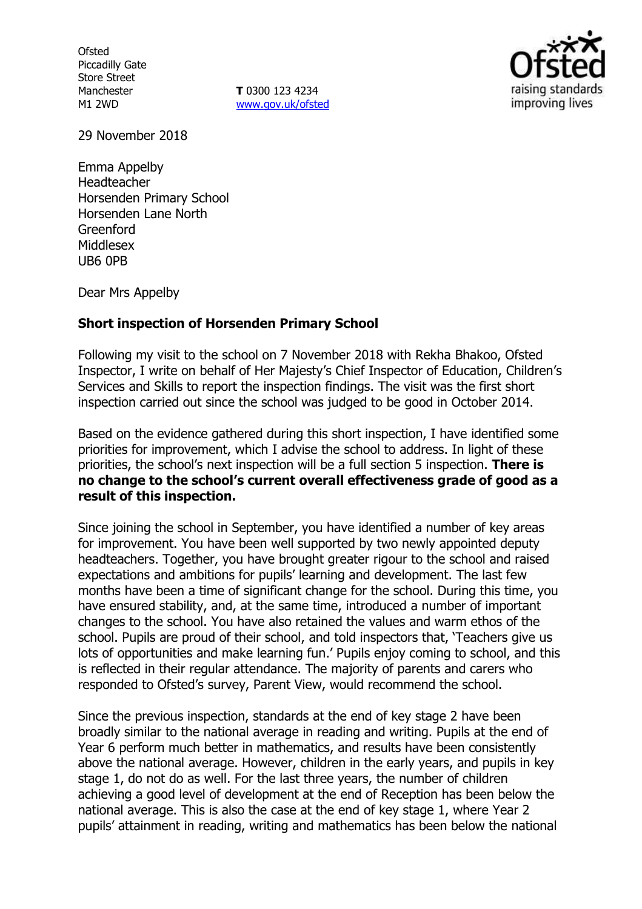**Ofsted** Piccadilly Gate Store Street Manchester M1 2WD

**T** 0300 123 4234 www.gov.uk/ofsted



29 November 2018

Emma Appelby Headteacher Horsenden Primary School Horsenden Lane North Greenford Middlesex UB6 0PB

Dear Mrs Appelby

#### **Short inspection of Horsenden Primary School**

Following my visit to the school on 7 November 2018 with Rekha Bhakoo, Ofsted Inspector, I write on behalf of Her Majesty's Chief Inspector of Education, Children's Services and Skills to report the inspection findings. The visit was the first short inspection carried out since the school was judged to be good in October 2014.

Based on the evidence gathered during this short inspection, I have identified some priorities for improvement, which I advise the school to address. In light of these priorities, the school's next inspection will be a full section 5 inspection. **There is no change to the school's current overall effectiveness grade of good as a result of this inspection.**

Since joining the school in September, you have identified a number of key areas for improvement. You have been well supported by two newly appointed deputy headteachers. Together, you have brought greater rigour to the school and raised expectations and ambitions for pupils' learning and development. The last few months have been a time of significant change for the school. During this time, you have ensured stability, and, at the same time, introduced a number of important changes to the school. You have also retained the values and warm ethos of the school. Pupils are proud of their school, and told inspectors that, 'Teachers give us lots of opportunities and make learning fun.' Pupils enjoy coming to school, and this is reflected in their regular attendance. The majority of parents and carers who responded to Ofsted's survey, Parent View, would recommend the school.

Since the previous inspection, standards at the end of key stage 2 have been broadly similar to the national average in reading and writing. Pupils at the end of Year 6 perform much better in mathematics, and results have been consistently above the national average. However, children in the early years, and pupils in key stage 1, do not do as well. For the last three years, the number of children achieving a good level of development at the end of Reception has been below the national average. This is also the case at the end of key stage 1, where Year 2 pupils' attainment in reading, writing and mathematics has been below the national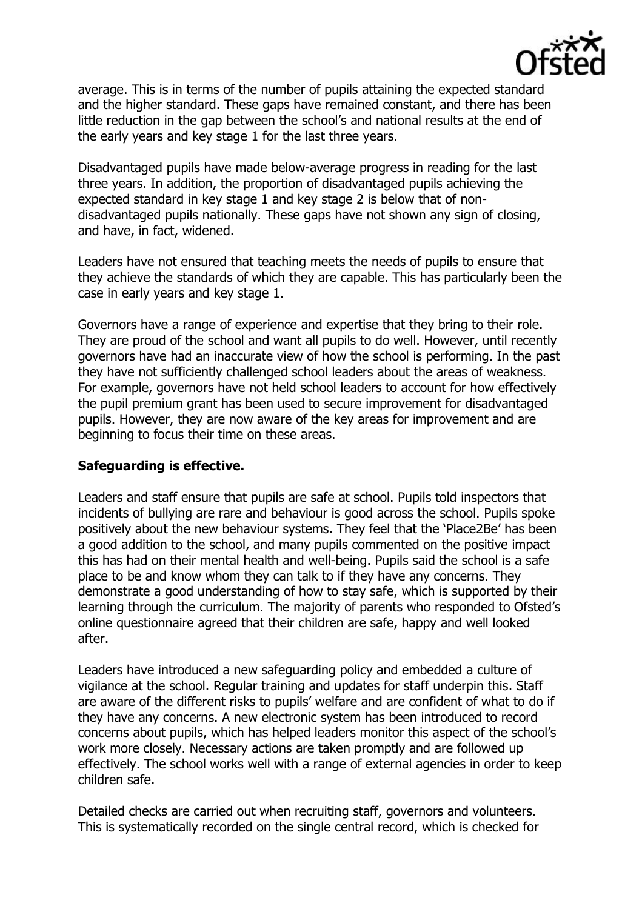

average. This is in terms of the number of pupils attaining the expected standard and the higher standard. These gaps have remained constant, and there has been little reduction in the gap between the school's and national results at the end of the early years and key stage 1 for the last three years.

Disadvantaged pupils have made below-average progress in reading for the last three years. In addition, the proportion of disadvantaged pupils achieving the expected standard in key stage 1 and key stage 2 is below that of nondisadvantaged pupils nationally. These gaps have not shown any sign of closing, and have, in fact, widened.

Leaders have not ensured that teaching meets the needs of pupils to ensure that they achieve the standards of which they are capable. This has particularly been the case in early years and key stage 1.

Governors have a range of experience and expertise that they bring to their role. They are proud of the school and want all pupils to do well. However, until recently governors have had an inaccurate view of how the school is performing. In the past they have not sufficiently challenged school leaders about the areas of weakness. For example, governors have not held school leaders to account for how effectively the pupil premium grant has been used to secure improvement for disadvantaged pupils. However, they are now aware of the key areas for improvement and are beginning to focus their time on these areas.

### **Safeguarding is effective.**

Leaders and staff ensure that pupils are safe at school. Pupils told inspectors that incidents of bullying are rare and behaviour is good across the school. Pupils spoke positively about the new behaviour systems. They feel that the 'Place2Be' has been a good addition to the school, and many pupils commented on the positive impact this has had on their mental health and well-being. Pupils said the school is a safe place to be and know whom they can talk to if they have any concerns. They demonstrate a good understanding of how to stay safe, which is supported by their learning through the curriculum. The majority of parents who responded to Ofsted's online questionnaire agreed that their children are safe, happy and well looked after.

Leaders have introduced a new safeguarding policy and embedded a culture of vigilance at the school. Regular training and updates for staff underpin this. Staff are aware of the different risks to pupils' welfare and are confident of what to do if they have any concerns. A new electronic system has been introduced to record concerns about pupils, which has helped leaders monitor this aspect of the school's work more closely. Necessary actions are taken promptly and are followed up effectively. The school works well with a range of external agencies in order to keep children safe.

Detailed checks are carried out when recruiting staff, governors and volunteers. This is systematically recorded on the single central record, which is checked for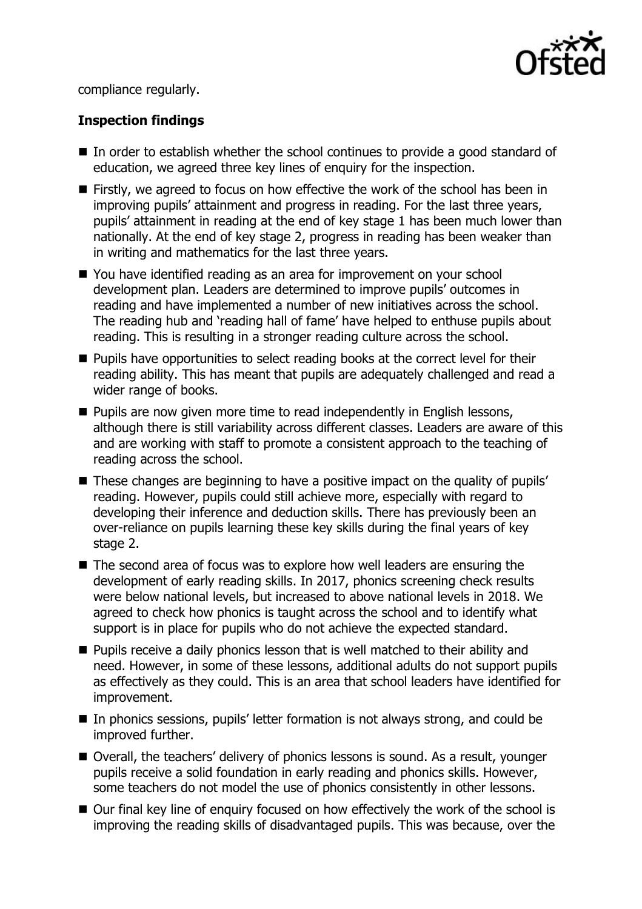

compliance regularly.

# **Inspection findings**

- In order to establish whether the school continues to provide a good standard of education, we agreed three key lines of enquiry for the inspection.
- Firstly, we agreed to focus on how effective the work of the school has been in improving pupils' attainment and progress in reading. For the last three years, pupils' attainment in reading at the end of key stage 1 has been much lower than nationally. At the end of key stage 2, progress in reading has been weaker than in writing and mathematics for the last three years.
- You have identified reading as an area for improvement on your school development plan. Leaders are determined to improve pupils' outcomes in reading and have implemented a number of new initiatives across the school. The reading hub and 'reading hall of fame' have helped to enthuse pupils about reading. This is resulting in a stronger reading culture across the school.
- **Pupils have opportunities to select reading books at the correct level for their** reading ability. This has meant that pupils are adequately challenged and read a wider range of books.
- **Pupils are now given more time to read independently in English lessons,** although there is still variability across different classes. Leaders are aware of this and are working with staff to promote a consistent approach to the teaching of reading across the school.
- These changes are beginning to have a positive impact on the quality of pupils' reading. However, pupils could still achieve more, especially with regard to developing their inference and deduction skills. There has previously been an over-reliance on pupils learning these key skills during the final years of key stage 2.
- The second area of focus was to explore how well leaders are ensuring the development of early reading skills. In 2017, phonics screening check results were below national levels, but increased to above national levels in 2018. We agreed to check how phonics is taught across the school and to identify what support is in place for pupils who do not achieve the expected standard.
- **Pupils receive a daily phonics lesson that is well matched to their ability and** need. However, in some of these lessons, additional adults do not support pupils as effectively as they could. This is an area that school leaders have identified for improvement.
- In phonics sessions, pupils' letter formation is not always strong, and could be improved further.
- Overall, the teachers' delivery of phonics lessons is sound. As a result, younger pupils receive a solid foundation in early reading and phonics skills. However, some teachers do not model the use of phonics consistently in other lessons.
- Our final key line of enquiry focused on how effectively the work of the school is improving the reading skills of disadvantaged pupils. This was because, over the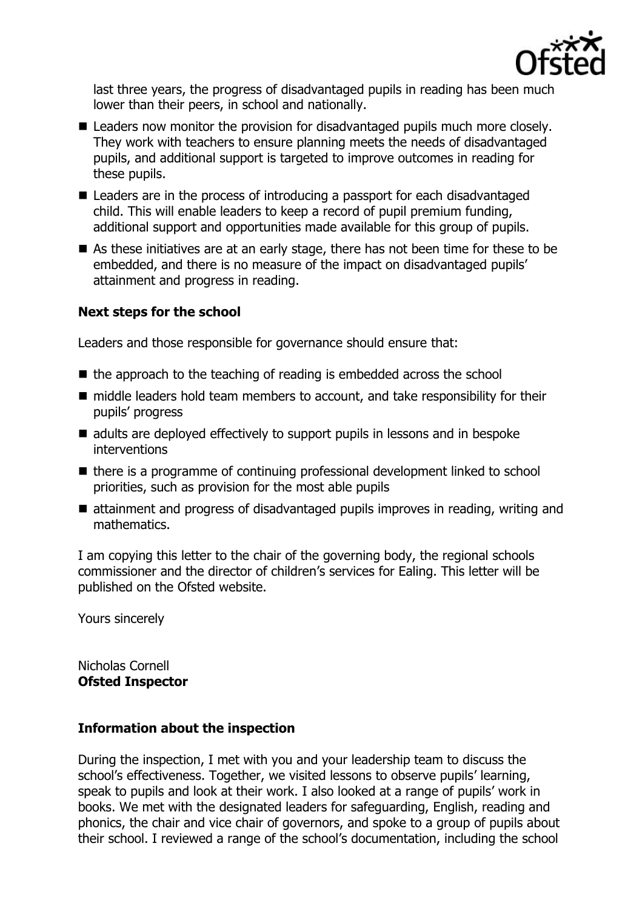

last three years, the progress of disadvantaged pupils in reading has been much lower than their peers, in school and nationally.

- Leaders now monitor the provision for disadvantaged pupils much more closely. They work with teachers to ensure planning meets the needs of disadvantaged pupils, and additional support is targeted to improve outcomes in reading for these pupils.
- Leaders are in the process of introducing a passport for each disadvantaged child. This will enable leaders to keep a record of pupil premium funding, additional support and opportunities made available for this group of pupils.
- As these initiatives are at an early stage, there has not been time for these to be embedded, and there is no measure of the impact on disadvantaged pupils' attainment and progress in reading.

## **Next steps for the school**

Leaders and those responsible for governance should ensure that:

- the approach to the teaching of reading is embedded across the school
- middle leaders hold team members to account, and take responsibility for their pupils' progress
- adults are deployed effectively to support pupils in lessons and in bespoke interventions
- $\blacksquare$  there is a programme of continuing professional development linked to school priorities, such as provision for the most able pupils
- attainment and progress of disadvantaged pupils improves in reading, writing and mathematics.

I am copying this letter to the chair of the governing body, the regional schools commissioner and the director of children's services for Ealing. This letter will be published on the Ofsted website.

Yours sincerely

Nicholas Cornell **Ofsted Inspector**

### **Information about the inspection**

During the inspection, I met with you and your leadership team to discuss the school's effectiveness. Together, we visited lessons to observe pupils' learning, speak to pupils and look at their work. I also looked at a range of pupils' work in books. We met with the designated leaders for safeguarding, English, reading and phonics, the chair and vice chair of governors, and spoke to a group of pupils about their school. I reviewed a range of the school's documentation, including the school